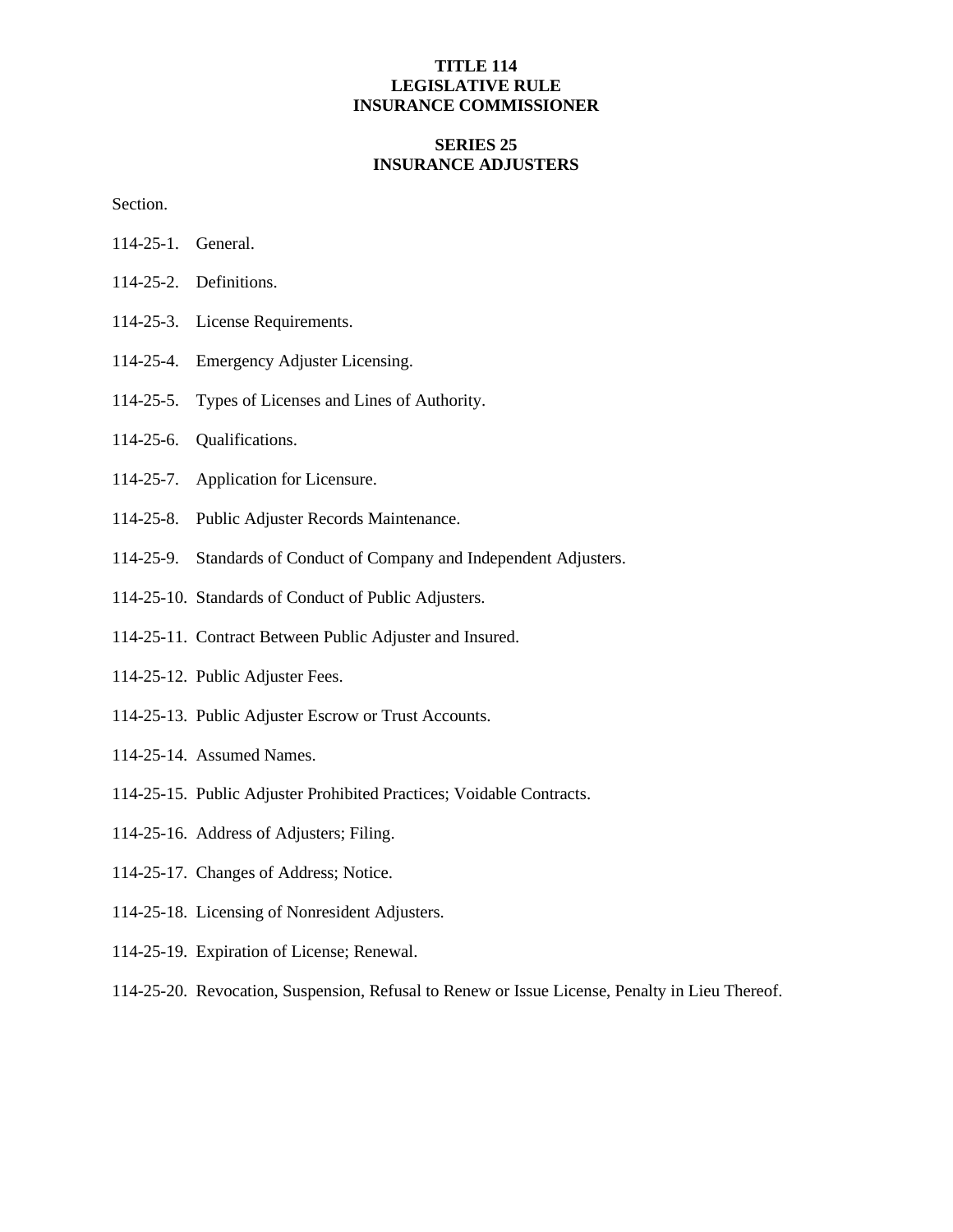# **TITLE 114 LEGISLATIVE RULE INSURANCE COMMISSIONER**

# **SERIES 25 INSURANCE ADJUSTERS**

Section.

- 114-25-1. General.
- 114-25-2. Definitions.
- 114-25-3. License Requirements.
- 114-25-4. Emergency Adjuster Licensing.
- 114-25-5. Types of Licenses and Lines of Authority.
- 114-25-6. Qualifications.
- 114-25-7. Application for Licensure.
- 114-25-8. Public Adjuster Records Maintenance.
- 114-25-9. Standards of Conduct of Company and Independent Adjusters.
- 114-25-10. Standards of Conduct of Public Adjusters.
- 114-25-11. Contract Between Public Adjuster and Insured.
- 114-25-12. Public Adjuster Fees.
- 114-25-13. Public Adjuster Escrow or Trust Accounts.
- 114-25-14. Assumed Names.
- 114-25-15. Public Adjuster Prohibited Practices; Voidable Contracts.
- 114-25-16. Address of Adjusters; Filing.
- 114-25-17. Changes of Address; Notice.
- 114-25-18. Licensing of Nonresident Adjusters.
- 114-25-19. Expiration of License; Renewal.
- 114-25-20. Revocation, Suspension, Refusal to Renew or Issue License, Penalty in Lieu Thereof.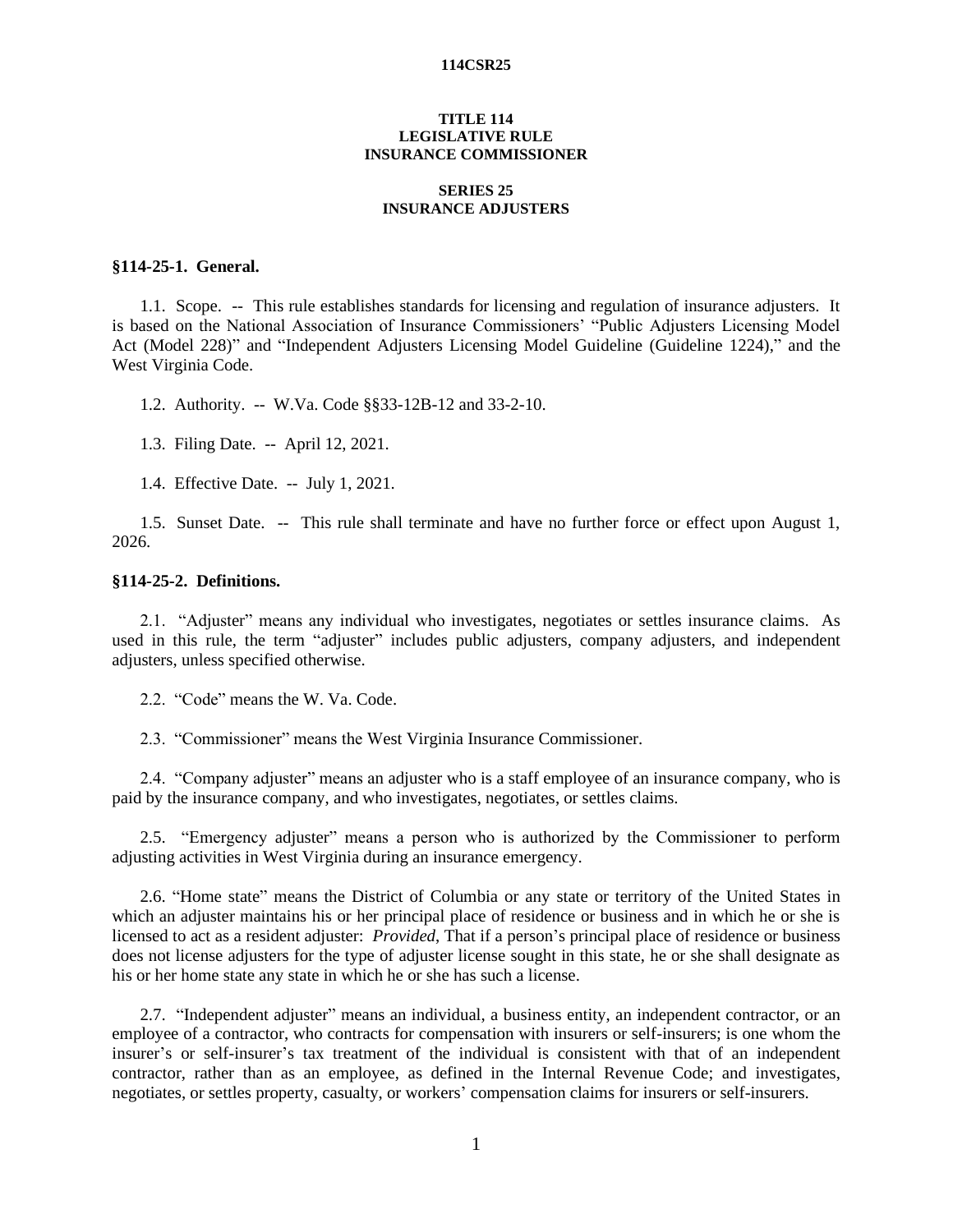## **TITLE 114 LEGISLATIVE RULE INSURANCE COMMISSIONER**

## **SERIES 25 INSURANCE ADJUSTERS**

# **§114-25-1. General.**

1.1. Scope. -- This rule establishes standards for licensing and regulation of insurance adjusters. It is based on the National Association of Insurance Commissioners' "Public Adjusters Licensing Model Act (Model 228)" and "Independent Adjusters Licensing Model Guideline (Guideline 1224)," and the West Virginia Code.

1.2. Authority. -- W.Va. Code §§33-12B-12 and 33-2-10.

1.3. Filing Date. -- April 12, 2021.

1.4. Effective Date. -- July 1, 2021.

1.5. Sunset Date. -- This rule shall terminate and have no further force or effect upon August 1, 2026.

# **§114-25-2. Definitions.**

2.1. "Adjuster" means any individual who investigates, negotiates or settles insurance claims. As used in this rule, the term "adjuster" includes public adjusters, company adjusters, and independent adjusters, unless specified otherwise.

2.2. "Code" means the W. Va. Code.

2.3. "Commissioner" means the West Virginia Insurance Commissioner.

2.4. "Company adjuster" means an adjuster who is a staff employee of an insurance company, who is paid by the insurance company, and who investigates, negotiates, or settles claims.

2.5. "Emergency adjuster" means a person who is authorized by the Commissioner to perform adjusting activities in West Virginia during an insurance emergency.

2.6. "Home state" means the District of Columbia or any state or territory of the United States in which an adjuster maintains his or her principal place of residence or business and in which he or she is licensed to act as a resident adjuster: *Provided*, That if a person's principal place of residence or business does not license adjusters for the type of adjuster license sought in this state, he or she shall designate as his or her home state any state in which he or she has such a license.

2.7. "Independent adjuster" means an individual, a business entity, an independent contractor, or an employee of a contractor, who contracts for compensation with insurers or self-insurers; is one whom the insurer's or self-insurer's tax treatment of the individual is consistent with that of an independent contractor, rather than as an employee, as defined in the Internal Revenue Code; and investigates, negotiates, or settles property, casualty, or workers' compensation claims for insurers or self-insurers.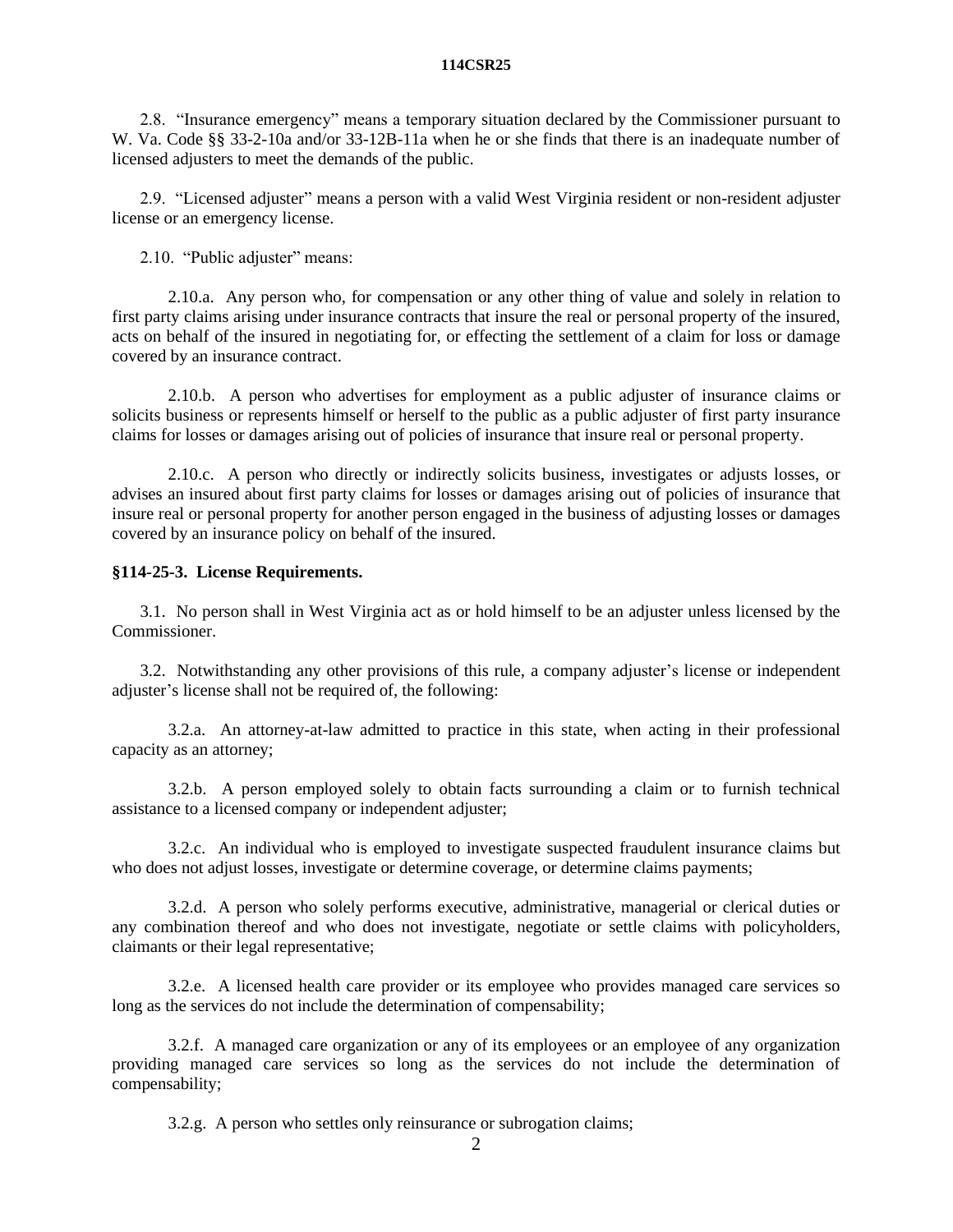2.8. "Insurance emergency" means a temporary situation declared by the Commissioner pursuant to W. Va. Code §§ 33-2-10a and/or 33-12B-11a when he or she finds that there is an inadequate number of licensed adjusters to meet the demands of the public.

2.9. "Licensed adjuster" means a person with a valid West Virginia resident or non-resident adjuster license or an emergency license.

2.10. "Public adjuster" means:

2.10.a. Any person who, for compensation or any other thing of value and solely in relation to first party claims arising under insurance contracts that insure the real or personal property of the insured, acts on behalf of the insured in negotiating for, or effecting the settlement of a claim for loss or damage covered by an insurance contract.

2.10.b. A person who advertises for employment as a public adjuster of insurance claims or solicits business or represents himself or herself to the public as a public adjuster of first party insurance claims for losses or damages arising out of policies of insurance that insure real or personal property.

2.10.c. A person who directly or indirectly solicits business, investigates or adjusts losses, or advises an insured about first party claims for losses or damages arising out of policies of insurance that insure real or personal property for another person engaged in the business of adjusting losses or damages covered by an insurance policy on behalf of the insured.

# **§114-25-3. License Requirements.**

3.1. No person shall in West Virginia act as or hold himself to be an adjuster unless licensed by the Commissioner.

3.2. Notwithstanding any other provisions of this rule, a company adjuster's license or independent adjuster's license shall not be required of, the following:

3.2.a. An attorney-at-law admitted to practice in this state, when acting in their professional capacity as an attorney;

3.2.b. A person employed solely to obtain facts surrounding a claim or to furnish technical assistance to a licensed company or independent adjuster;

3.2.c. An individual who is employed to investigate suspected fraudulent insurance claims but who does not adjust losses, investigate or determine coverage, or determine claims payments;

3.2.d. A person who solely performs executive, administrative, managerial or clerical duties or any combination thereof and who does not investigate, negotiate or settle claims with policyholders, claimants or their legal representative;

3.2.e. A licensed health care provider or its employee who provides managed care services so long as the services do not include the determination of compensability;

3.2.f. A managed care organization or any of its employees or an employee of any organization providing managed care services so long as the services do not include the determination of compensability;

3.2.g. A person who settles only reinsurance or subrogation claims;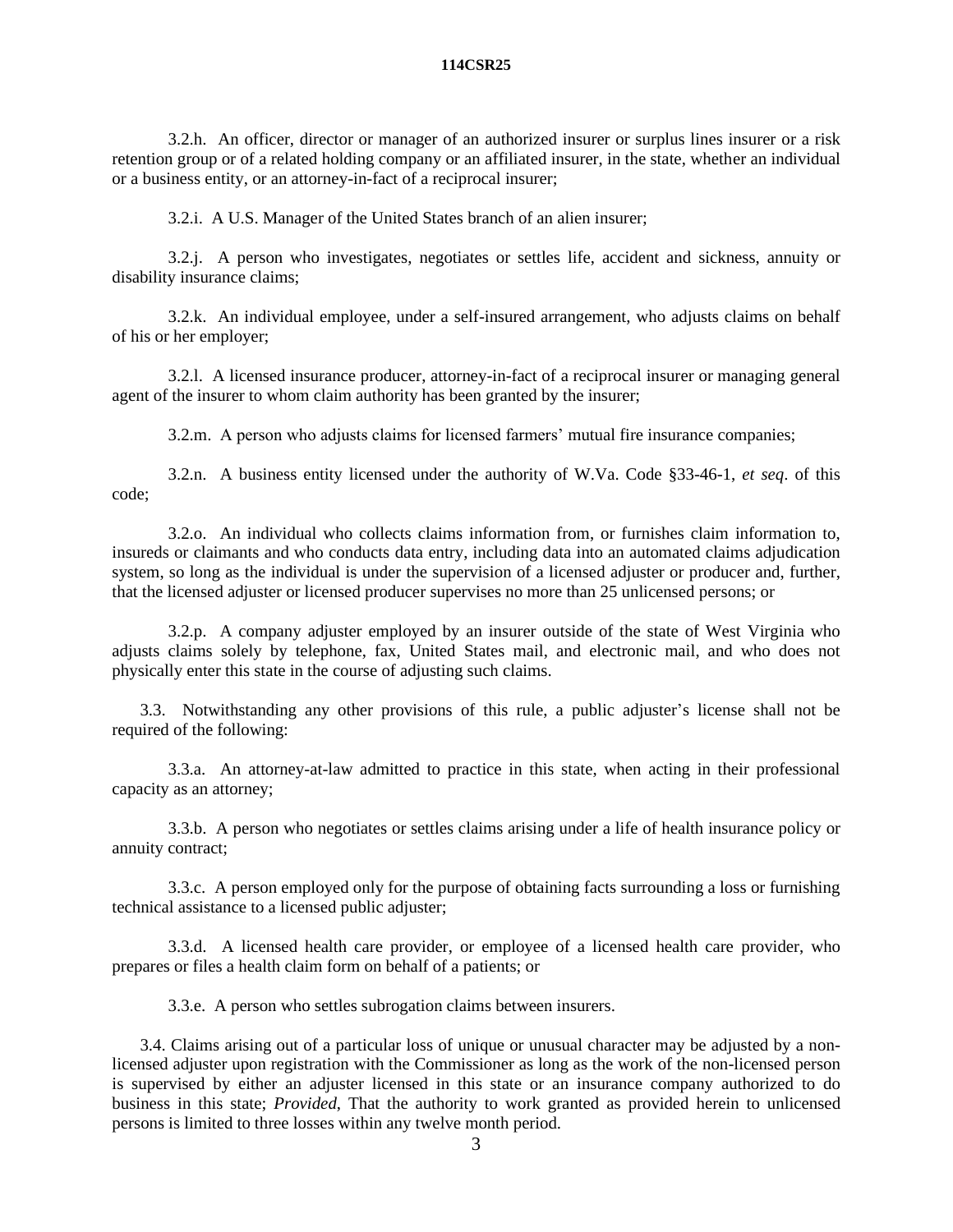3.2.h. An officer, director or manager of an authorized insurer or surplus lines insurer or a risk retention group or of a related holding company or an affiliated insurer, in the state, whether an individual or a business entity, or an attorney-in-fact of a reciprocal insurer;

3.2.i. A U.S. Manager of the United States branch of an alien insurer;

3.2.j. A person who investigates, negotiates or settles life, accident and sickness, annuity or disability insurance claims;

3.2.k. An individual employee, under a self-insured arrangement, who adjusts claims on behalf of his or her employer;

3.2.l. A licensed insurance producer, attorney-in-fact of a reciprocal insurer or managing general agent of the insurer to whom claim authority has been granted by the insurer;

3.2.m. A person who adjusts claims for licensed farmers' mutual fire insurance companies;

3.2.n. A business entity licensed under the authority of W.Va. Code §33-46-1, *et seq*. of this code;

3.2.o. An individual who collects claims information from, or furnishes claim information to, insureds or claimants and who conducts data entry, including data into an automated claims adjudication system, so long as the individual is under the supervision of a licensed adjuster or producer and, further, that the licensed adjuster or licensed producer supervises no more than 25 unlicensed persons; or

3.2.p. A company adjuster employed by an insurer outside of the state of West Virginia who adjusts claims solely by telephone, fax, United States mail, and electronic mail, and who does not physically enter this state in the course of adjusting such claims.

3.3. Notwithstanding any other provisions of this rule, a public adjuster's license shall not be required of the following:

3.3.a. An attorney-at-law admitted to practice in this state, when acting in their professional capacity as an attorney;

3.3.b. A person who negotiates or settles claims arising under a life of health insurance policy or annuity contract;

3.3.c. A person employed only for the purpose of obtaining facts surrounding a loss or furnishing technical assistance to a licensed public adjuster;

3.3.d. A licensed health care provider, or employee of a licensed health care provider, who prepares or files a health claim form on behalf of a patients; or

3.3.e. A person who settles subrogation claims between insurers.

3.4. Claims arising out of a particular loss of unique or unusual character may be adjusted by a nonlicensed adjuster upon registration with the Commissioner as long as the work of the non-licensed person is supervised by either an adjuster licensed in this state or an insurance company authorized to do business in this state; *Provided*, That the authority to work granted as provided herein to unlicensed persons is limited to three losses within any twelve month period.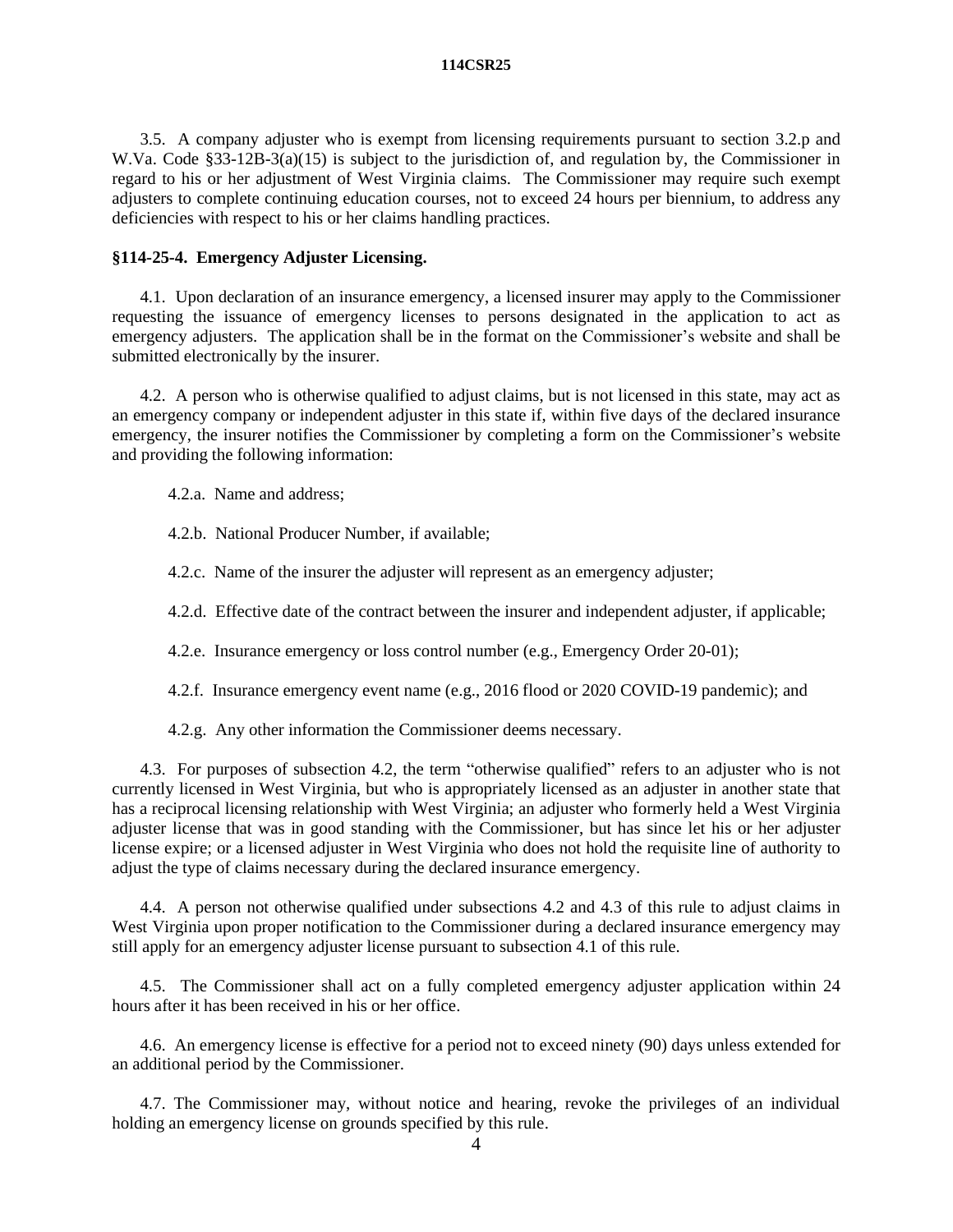3.5. A company adjuster who is exempt from licensing requirements pursuant to section 3.2.p and W.Va. Code §33-12B-3(a)(15) is subject to the jurisdiction of, and regulation by, the Commissioner in regard to his or her adjustment of West Virginia claims. The Commissioner may require such exempt adjusters to complete continuing education courses, not to exceed 24 hours per biennium, to address any deficiencies with respect to his or her claims handling practices.

# **§114-25-4. Emergency Adjuster Licensing.**

4.1. Upon declaration of an insurance emergency, a licensed insurer may apply to the Commissioner requesting the issuance of emergency licenses to persons designated in the application to act as emergency adjusters. The application shall be in the format on the Commissioner's website and shall be submitted electronically by the insurer.

4.2. A person who is otherwise qualified to adjust claims, but is not licensed in this state, may act as an emergency company or independent adjuster in this state if, within five days of the declared insurance emergency, the insurer notifies the Commissioner by completing a form on the Commissioner's website and providing the following information:

4.2.a. Name and address;

4.2.b. National Producer Number, if available;

4.2.c. Name of the insurer the adjuster will represent as an emergency adjuster;

4.2.d. Effective date of the contract between the insurer and independent adjuster, if applicable;

4.2.e. Insurance emergency or loss control number (e.g., Emergency Order 20-01);

4.2.f. Insurance emergency event name (e.g., 2016 flood or 2020 COVID-19 pandemic); and

4.2.g. Any other information the Commissioner deems necessary.

4.3. For purposes of subsection 4.2, the term "otherwise qualified" refers to an adjuster who is not currently licensed in West Virginia, but who is appropriately licensed as an adjuster in another state that has a reciprocal licensing relationship with West Virginia; an adjuster who formerly held a West Virginia adjuster license that was in good standing with the Commissioner, but has since let his or her adjuster license expire; or a licensed adjuster in West Virginia who does not hold the requisite line of authority to adjust the type of claims necessary during the declared insurance emergency.

4.4. A person not otherwise qualified under subsections 4.2 and 4.3 of this rule to adjust claims in West Virginia upon proper notification to the Commissioner during a declared insurance emergency may still apply for an emergency adjuster license pursuant to subsection 4.1 of this rule.

4.5. The Commissioner shall act on a fully completed emergency adjuster application within 24 hours after it has been received in his or her office.

4.6. An emergency license is effective for a period not to exceed ninety (90) days unless extended for an additional period by the Commissioner.

4.7. The Commissioner may, without notice and hearing, revoke the privileges of an individual holding an emergency license on grounds specified by this rule.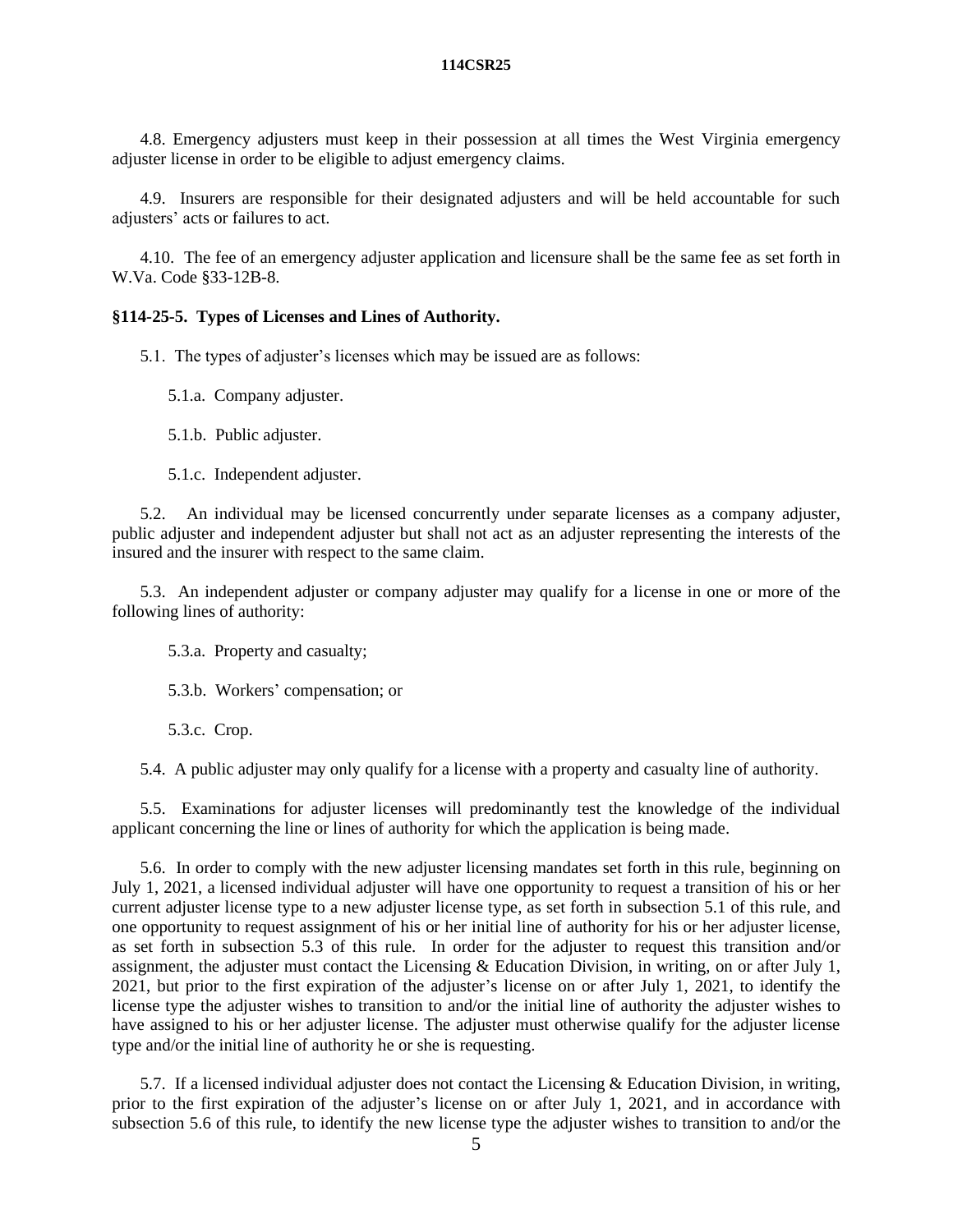4.8. Emergency adjusters must keep in their possession at all times the West Virginia emergency adjuster license in order to be eligible to adjust emergency claims.

4.9. Insurers are responsible for their designated adjusters and will be held accountable for such adjusters' acts or failures to act.

4.10. The fee of an emergency adjuster application and licensure shall be the same fee as set forth in W.Va. Code §33-12B-8.

## **§114-25-5. Types of Licenses and Lines of Authority.**

5.1. The types of adjuster's licenses which may be issued are as follows:

5.1.a. Company adjuster.

5.1.b. Public adjuster.

5.1.c. Independent adjuster.

5.2. An individual may be licensed concurrently under separate licenses as a company adjuster, public adjuster and independent adjuster but shall not act as an adjuster representing the interests of the insured and the insurer with respect to the same claim.

5.3. An independent adjuster or company adjuster may qualify for a license in one or more of the following lines of authority:

5.3.a. Property and casualty;

5.3.b. Workers' compensation; or

5.3.c. Crop.

5.4. A public adjuster may only qualify for a license with a property and casualty line of authority.

5.5. Examinations for adjuster licenses will predominantly test the knowledge of the individual applicant concerning the line or lines of authority for which the application is being made.

5.6. In order to comply with the new adjuster licensing mandates set forth in this rule, beginning on July 1, 2021, a licensed individual adjuster will have one opportunity to request a transition of his or her current adjuster license type to a new adjuster license type, as set forth in subsection 5.1 of this rule, and one opportunity to request assignment of his or her initial line of authority for his or her adjuster license, as set forth in subsection 5.3 of this rule. In order for the adjuster to request this transition and/or assignment, the adjuster must contact the Licensing & Education Division, in writing, on or after July 1, 2021, but prior to the first expiration of the adjuster's license on or after July 1, 2021, to identify the license type the adjuster wishes to transition to and/or the initial line of authority the adjuster wishes to have assigned to his or her adjuster license. The adjuster must otherwise qualify for the adjuster license type and/or the initial line of authority he or she is requesting.

5.7. If a licensed individual adjuster does not contact the Licensing & Education Division, in writing, prior to the first expiration of the adjuster's license on or after July 1, 2021, and in accordance with subsection 5.6 of this rule, to identify the new license type the adjuster wishes to transition to and/or the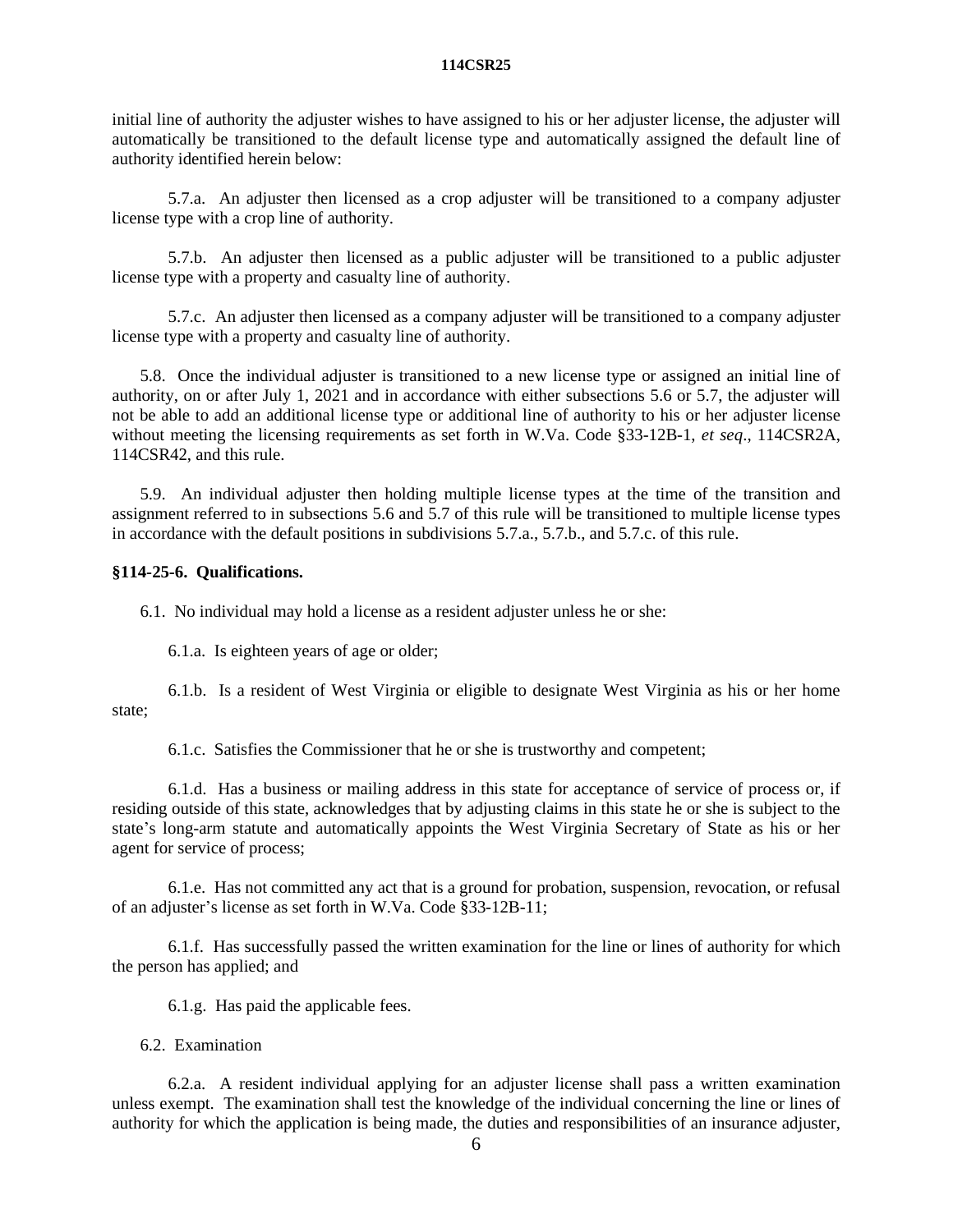initial line of authority the adjuster wishes to have assigned to his or her adjuster license, the adjuster will automatically be transitioned to the default license type and automatically assigned the default line of authority identified herein below:

5.7.a. An adjuster then licensed as a crop adjuster will be transitioned to a company adjuster license type with a crop line of authority.

5.7.b. An adjuster then licensed as a public adjuster will be transitioned to a public adjuster license type with a property and casualty line of authority.

5.7.c. An adjuster then licensed as a company adjuster will be transitioned to a company adjuster license type with a property and casualty line of authority.

5.8. Once the individual adjuster is transitioned to a new license type or assigned an initial line of authority, on or after July 1, 2021 and in accordance with either subsections 5.6 or 5.7, the adjuster will not be able to add an additional license type or additional line of authority to his or her adjuster license without meeting the licensing requirements as set forth in W.Va. Code §33-12B-1, *et seq*., 114CSR2A, 114CSR42, and this rule.

5.9. An individual adjuster then holding multiple license types at the time of the transition and assignment referred to in subsections 5.6 and 5.7 of this rule will be transitioned to multiple license types in accordance with the default positions in subdivisions 5.7.a., 5.7.b., and 5.7.c. of this rule.

# **§114-25-6. Qualifications.**

6.1. No individual may hold a license as a resident adjuster unless he or she:

6.1.a. Is eighteen years of age or older;

6.1.b. Is a resident of West Virginia or eligible to designate West Virginia as his or her home state;

6.1.c. Satisfies the Commissioner that he or she is trustworthy and competent;

6.1.d. Has a business or mailing address in this state for acceptance of service of process or, if residing outside of this state, acknowledges that by adjusting claims in this state he or she is subject to the state's long-arm statute and automatically appoints the West Virginia Secretary of State as his or her agent for service of process;

6.1.e. Has not committed any act that is a ground for probation, suspension, revocation, or refusal of an adjuster's license as set forth in W.Va. Code §33-12B-11;

6.1.f. Has successfully passed the written examination for the line or lines of authority for which the person has applied; and

6.1.g. Has paid the applicable fees.

6.2. Examination

6.2.a. A resident individual applying for an adjuster license shall pass a written examination unless exempt. The examination shall test the knowledge of the individual concerning the line or lines of authority for which the application is being made, the duties and responsibilities of an insurance adjuster,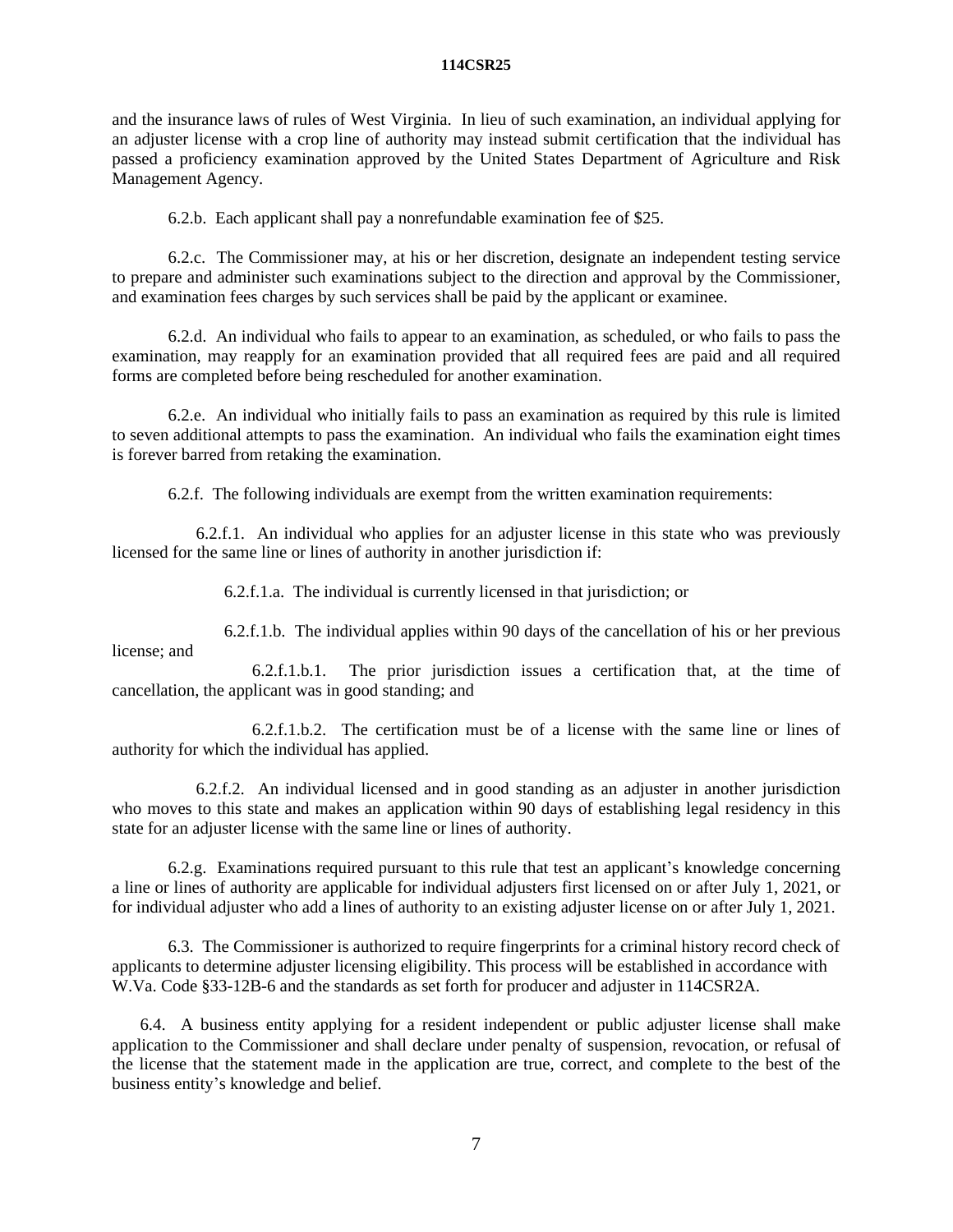and the insurance laws of rules of West Virginia. In lieu of such examination, an individual applying for an adjuster license with a crop line of authority may instead submit certification that the individual has passed a proficiency examination approved by the United States Department of Agriculture and Risk Management Agency.

6.2.b. Each applicant shall pay a nonrefundable examination fee of \$25.

6.2.c. The Commissioner may, at his or her discretion, designate an independent testing service to prepare and administer such examinations subject to the direction and approval by the Commissioner, and examination fees charges by such services shall be paid by the applicant or examinee.

6.2.d. An individual who fails to appear to an examination, as scheduled, or who fails to pass the examination, may reapply for an examination provided that all required fees are paid and all required forms are completed before being rescheduled for another examination.

6.2.e. An individual who initially fails to pass an examination as required by this rule is limited to seven additional attempts to pass the examination. An individual who fails the examination eight times is forever barred from retaking the examination.

6.2.f. The following individuals are exempt from the written examination requirements:

6.2.f.1. An individual who applies for an adjuster license in this state who was previously licensed for the same line or lines of authority in another jurisdiction if:

6.2.f.1.a. The individual is currently licensed in that jurisdiction; or

6.2.f.1.b. The individual applies within 90 days of the cancellation of his or her previous license; and

6.2.f.1.b.1. The prior jurisdiction issues a certification that, at the time of cancellation, the applicant was in good standing; and

6.2.f.1.b.2. The certification must be of a license with the same line or lines of authority for which the individual has applied.

6.2.f.2. An individual licensed and in good standing as an adjuster in another jurisdiction who moves to this state and makes an application within 90 days of establishing legal residency in this state for an adjuster license with the same line or lines of authority.

6.2.g. Examinations required pursuant to this rule that test an applicant's knowledge concerning a line or lines of authority are applicable for individual adjusters first licensed on or after July 1, 2021, or for individual adjuster who add a lines of authority to an existing adjuster license on or after July 1, 2021.

6.3. The Commissioner is authorized to require fingerprints for a criminal history record check of applicants to determine adjuster licensing eligibility. This process will be established in accordance with W.Va. Code §33-12B-6 and the standards as set forth for producer and adjuster in 114CSR2A.

6.4. A business entity applying for a resident independent or public adjuster license shall make application to the Commissioner and shall declare under penalty of suspension, revocation, or refusal of the license that the statement made in the application are true, correct, and complete to the best of the business entity's knowledge and belief.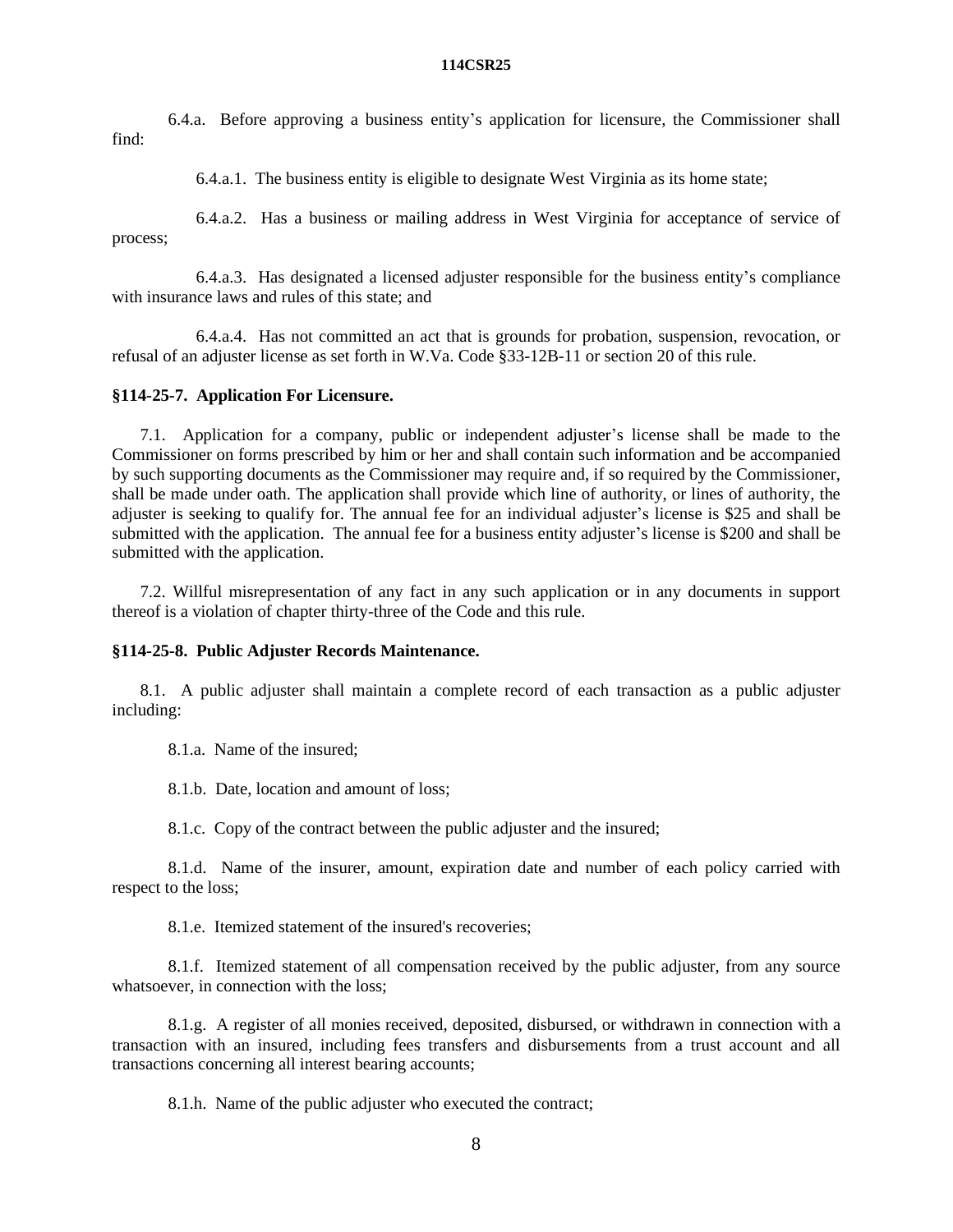6.4.a. Before approving a business entity's application for licensure, the Commissioner shall find:

6.4.a.1. The business entity is eligible to designate West Virginia as its home state;

6.4.a.2. Has a business or mailing address in West Virginia for acceptance of service of process;

6.4.a.3. Has designated a licensed adjuster responsible for the business entity's compliance with insurance laws and rules of this state; and

6.4.a.4. Has not committed an act that is grounds for probation, suspension, revocation, or refusal of an adjuster license as set forth in W.Va. Code §33-12B-11 or section 20 of this rule.

# **§114-25-7. Application For Licensure.**

7.1. Application for a company, public or independent adjuster's license shall be made to the Commissioner on forms prescribed by him or her and shall contain such information and be accompanied by such supporting documents as the Commissioner may require and, if so required by the Commissioner, shall be made under oath. The application shall provide which line of authority, or lines of authority, the adjuster is seeking to qualify for. The annual fee for an individual adjuster's license is \$25 and shall be submitted with the application. The annual fee for a business entity adjuster's license is \$200 and shall be submitted with the application.

7.2. Willful misrepresentation of any fact in any such application or in any documents in support thereof is a violation of chapter thirty-three of the Code and this rule.

# **§114-25-8. Public Adjuster Records Maintenance.**

8.1. A public adjuster shall maintain a complete record of each transaction as a public adjuster including:

8.1.a. Name of the insured;

8.1.b. Date, location and amount of loss;

8.1.c. Copy of the contract between the public adjuster and the insured;

8.1.d. Name of the insurer, amount, expiration date and number of each policy carried with respect to the loss;

8.1.e. Itemized statement of the insured's recoveries;

8.1.f. Itemized statement of all compensation received by the public adjuster, from any source whatsoever, in connection with the loss;

8.1.g. A register of all monies received, deposited, disbursed, or withdrawn in connection with a transaction with an insured, including fees transfers and disbursements from a trust account and all transactions concerning all interest bearing accounts;

8.1.h. Name of the public adjuster who executed the contract;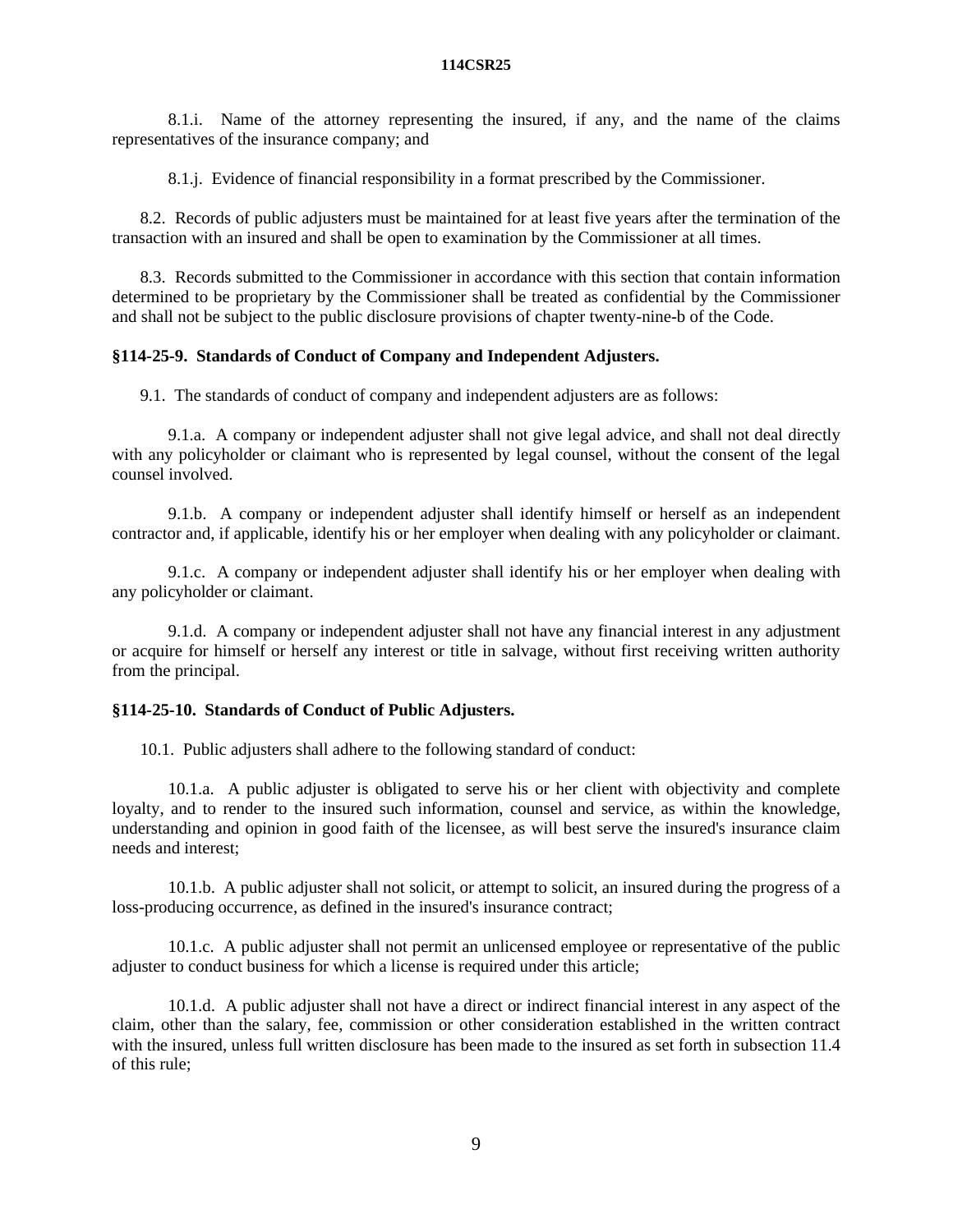8.1.i. Name of the attorney representing the insured, if any, and the name of the claims representatives of the insurance company; and

8.1.j. Evidence of financial responsibility in a format prescribed by the Commissioner.

8.2. Records of public adjusters must be maintained for at least five years after the termination of the transaction with an insured and shall be open to examination by the Commissioner at all times.

8.3. Records submitted to the Commissioner in accordance with this section that contain information determined to be proprietary by the Commissioner shall be treated as confidential by the Commissioner and shall not be subject to the public disclosure provisions of chapter twenty-nine-b of the Code.

## **§114-25-9. Standards of Conduct of Company and Independent Adjusters.**

9.1. The standards of conduct of company and independent adjusters are as follows:

9.1.a. A company or independent adjuster shall not give legal advice, and shall not deal directly with any policyholder or claimant who is represented by legal counsel, without the consent of the legal counsel involved.

9.1.b. A company or independent adjuster shall identify himself or herself as an independent contractor and, if applicable, identify his or her employer when dealing with any policyholder or claimant.

9.1.c. A company or independent adjuster shall identify his or her employer when dealing with any policyholder or claimant.

9.1.d. A company or independent adjuster shall not have any financial interest in any adjustment or acquire for himself or herself any interest or title in salvage, without first receiving written authority from the principal.

## **§114-25-10. Standards of Conduct of Public Adjusters.**

10.1. Public adjusters shall adhere to the following standard of conduct:

10.1.a. A public adjuster is obligated to serve his or her client with objectivity and complete loyalty, and to render to the insured such information, counsel and service, as within the knowledge, understanding and opinion in good faith of the licensee, as will best serve the insured's insurance claim needs and interest;

10.1.b. A public adjuster shall not solicit, or attempt to solicit, an insured during the progress of a loss-producing occurrence, as defined in the insured's insurance contract;

10.1.c. A public adjuster shall not permit an unlicensed employee or representative of the public adjuster to conduct business for which a license is required under this article;

10.1.d. A public adjuster shall not have a direct or indirect financial interest in any aspect of the claim, other than the salary, fee, commission or other consideration established in the written contract with the insured, unless full written disclosure has been made to the insured as set forth in subsection 11.4 of this rule;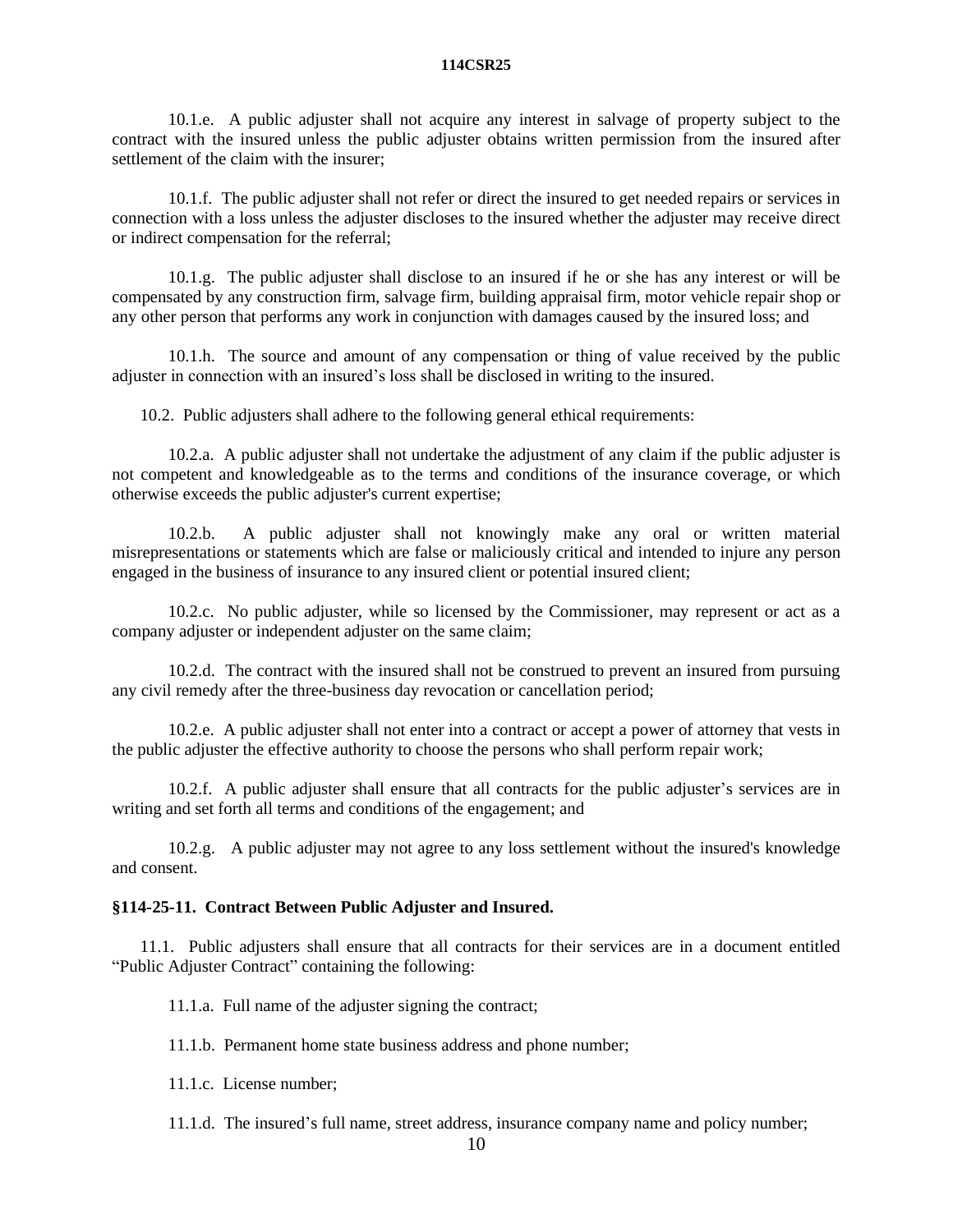10.1.e. A public adjuster shall not acquire any interest in salvage of property subject to the contract with the insured unless the public adjuster obtains written permission from the insured after settlement of the claim with the insurer;

10.1.f. The public adjuster shall not refer or direct the insured to get needed repairs or services in connection with a loss unless the adjuster discloses to the insured whether the adjuster may receive direct or indirect compensation for the referral;

10.1.g. The public adjuster shall disclose to an insured if he or she has any interest or will be compensated by any construction firm, salvage firm, building appraisal firm, motor vehicle repair shop or any other person that performs any work in conjunction with damages caused by the insured loss; and

10.1.h. The source and amount of any compensation or thing of value received by the public adjuster in connection with an insured's loss shall be disclosed in writing to the insured.

10.2. Public adjusters shall adhere to the following general ethical requirements:

10.2.a. A public adjuster shall not undertake the adjustment of any claim if the public adjuster is not competent and knowledgeable as to the terms and conditions of the insurance coverage, or which otherwise exceeds the public adjuster's current expertise;

10.2.b. A public adjuster shall not knowingly make any oral or written material misrepresentations or statements which are false or maliciously critical and intended to injure any person engaged in the business of insurance to any insured client or potential insured client;

10.2.c. No public adjuster, while so licensed by the Commissioner, may represent or act as a company adjuster or independent adjuster on the same claim;

10.2.d. The contract with the insured shall not be construed to prevent an insured from pursuing any civil remedy after the three-business day revocation or cancellation period;

10.2.e. A public adjuster shall not enter into a contract or accept a power of attorney that vests in the public adjuster the effective authority to choose the persons who shall perform repair work;

10.2.f. A public adjuster shall ensure that all contracts for the public adjuster's services are in writing and set forth all terms and conditions of the engagement; and

10.2.g. A public adjuster may not agree to any loss settlement without the insured's knowledge and consent.

# **§114-25-11. Contract Between Public Adjuster and Insured.**

11.1. Public adjusters shall ensure that all contracts for their services are in a document entitled "Public Adjuster Contract" containing the following:

11.1.a. Full name of the adjuster signing the contract;

11.1.b. Permanent home state business address and phone number;

11.1.c. License number;

11.1.d. The insured's full name, street address, insurance company name and policy number;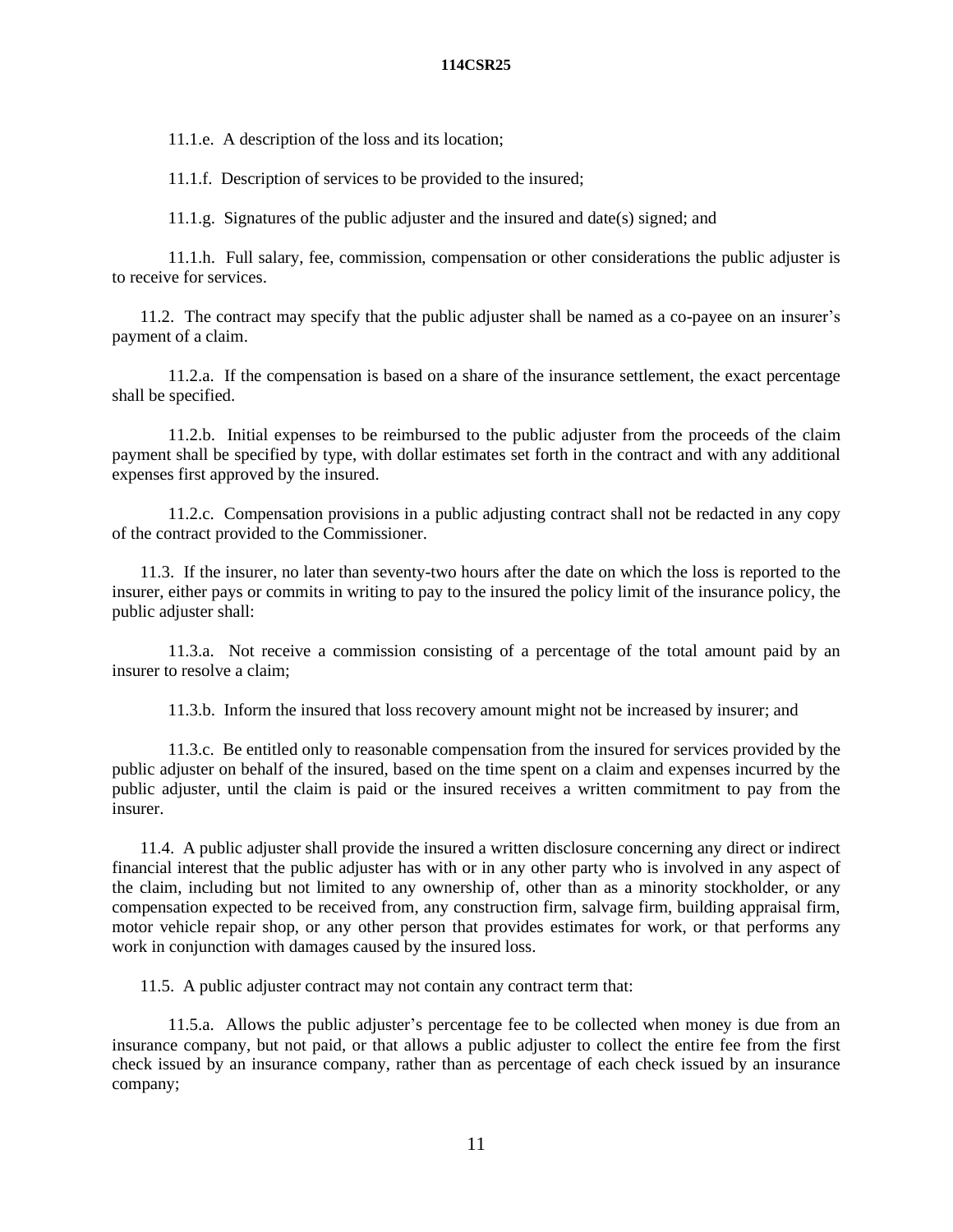11.1.e. A description of the loss and its location;

11.1.f. Description of services to be provided to the insured;

11.1.g. Signatures of the public adjuster and the insured and date(s) signed; and

11.1.h. Full salary, fee, commission, compensation or other considerations the public adjuster is to receive for services.

11.2. The contract may specify that the public adjuster shall be named as a co-payee on an insurer's payment of a claim.

11.2.a. If the compensation is based on a share of the insurance settlement, the exact percentage shall be specified.

11.2.b. Initial expenses to be reimbursed to the public adjuster from the proceeds of the claim payment shall be specified by type, with dollar estimates set forth in the contract and with any additional expenses first approved by the insured.

11.2.c. Compensation provisions in a public adjusting contract shall not be redacted in any copy of the contract provided to the Commissioner.

11.3. If the insurer, no later than seventy-two hours after the date on which the loss is reported to the insurer, either pays or commits in writing to pay to the insured the policy limit of the insurance policy, the public adjuster shall:

11.3.a. Not receive a commission consisting of a percentage of the total amount paid by an insurer to resolve a claim;

11.3.b. Inform the insured that loss recovery amount might not be increased by insurer; and

11.3.c. Be entitled only to reasonable compensation from the insured for services provided by the public adjuster on behalf of the insured, based on the time spent on a claim and expenses incurred by the public adjuster, until the claim is paid or the insured receives a written commitment to pay from the insurer.

11.4. A public adjuster shall provide the insured a written disclosure concerning any direct or indirect financial interest that the public adjuster has with or in any other party who is involved in any aspect of the claim, including but not limited to any ownership of, other than as a minority stockholder, or any compensation expected to be received from, any construction firm, salvage firm, building appraisal firm, motor vehicle repair shop, or any other person that provides estimates for work, or that performs any work in conjunction with damages caused by the insured loss.

11.5. A public adjuster contract may not contain any contract term that:

11.5.a. Allows the public adjuster's percentage fee to be collected when money is due from an insurance company, but not paid, or that allows a public adjuster to collect the entire fee from the first check issued by an insurance company, rather than as percentage of each check issued by an insurance company;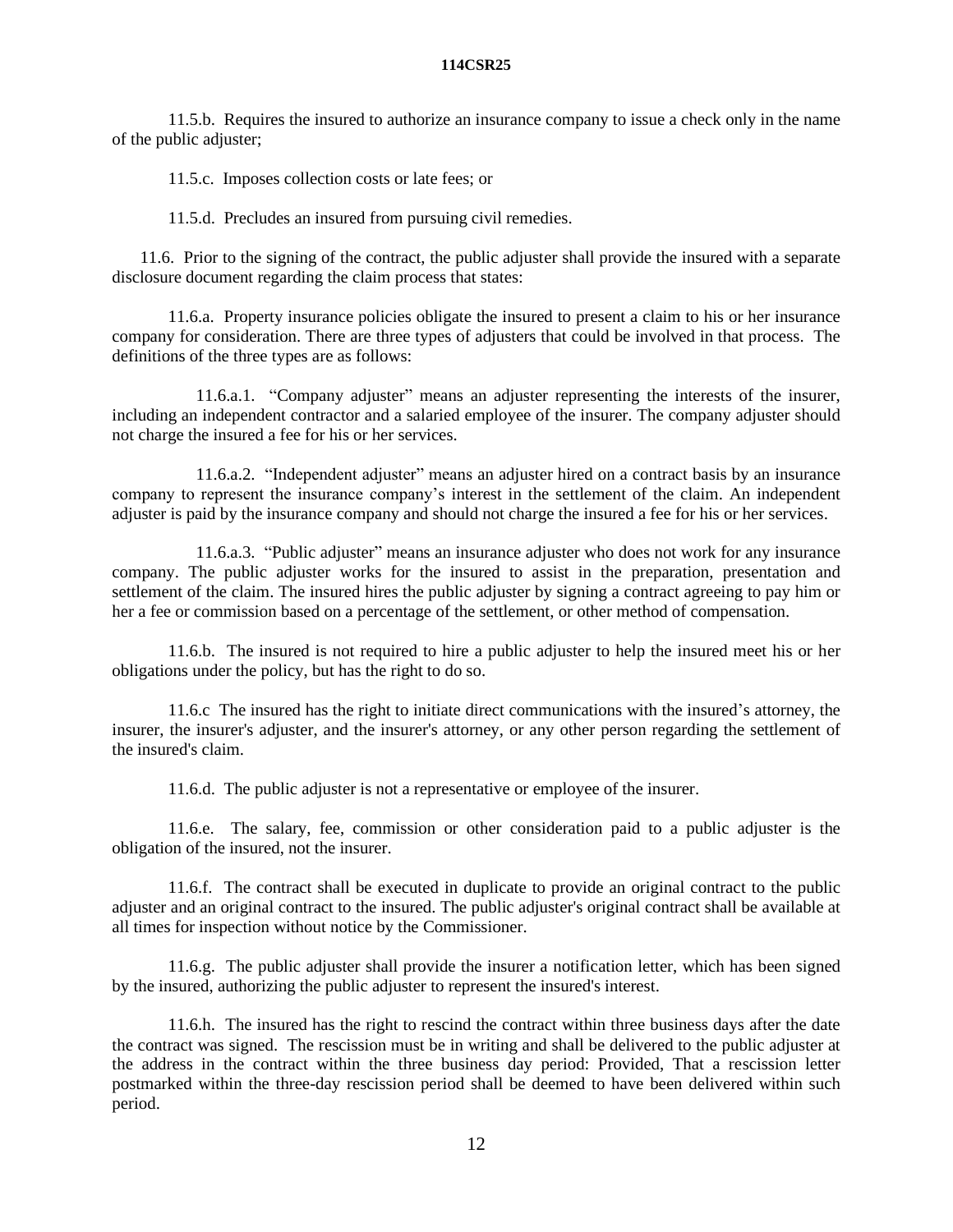11.5.b. Requires the insured to authorize an insurance company to issue a check only in the name of the public adjuster;

11.5.c. Imposes collection costs or late fees; or

11.5.d. Precludes an insured from pursuing civil remedies.

11.6. Prior to the signing of the contract, the public adjuster shall provide the insured with a separate disclosure document regarding the claim process that states:

11.6.a. Property insurance policies obligate the insured to present a claim to his or her insurance company for consideration. There are three types of adjusters that could be involved in that process. The definitions of the three types are as follows:

11.6.a.1. "Company adjuster" means an adjuster representing the interests of the insurer, including an independent contractor and a salaried employee of the insurer. The company adjuster should not charge the insured a fee for his or her services.

11.6.a.2. "Independent adjuster" means an adjuster hired on a contract basis by an insurance company to represent the insurance company's interest in the settlement of the claim. An independent adjuster is paid by the insurance company and should not charge the insured a fee for his or her services.

11.6.a.3. "Public adjuster" means an insurance adjuster who does not work for any insurance company. The public adjuster works for the insured to assist in the preparation, presentation and settlement of the claim. The insured hires the public adjuster by signing a contract agreeing to pay him or her a fee or commission based on a percentage of the settlement, or other method of compensation.

11.6.b. The insured is not required to hire a public adjuster to help the insured meet his or her obligations under the policy, but has the right to do so.

11.6.c The insured has the right to initiate direct communications with the insured's attorney, the insurer, the insurer's adjuster, and the insurer's attorney, or any other person regarding the settlement of the insured's claim.

11.6.d. The public adjuster is not a representative or employee of the insurer.

11.6.e. The salary, fee, commission or other consideration paid to a public adjuster is the obligation of the insured, not the insurer.

11.6.f. The contract shall be executed in duplicate to provide an original contract to the public adjuster and an original contract to the insured. The public adjuster's original contract shall be available at all times for inspection without notice by the Commissioner.

11.6.g. The public adjuster shall provide the insurer a notification letter, which has been signed by the insured, authorizing the public adjuster to represent the insured's interest.

11.6.h. The insured has the right to rescind the contract within three business days after the date the contract was signed. The rescission must be in writing and shall be delivered to the public adjuster at the address in the contract within the three business day period: Provided, That a rescission letter postmarked within the three-day rescission period shall be deemed to have been delivered within such period.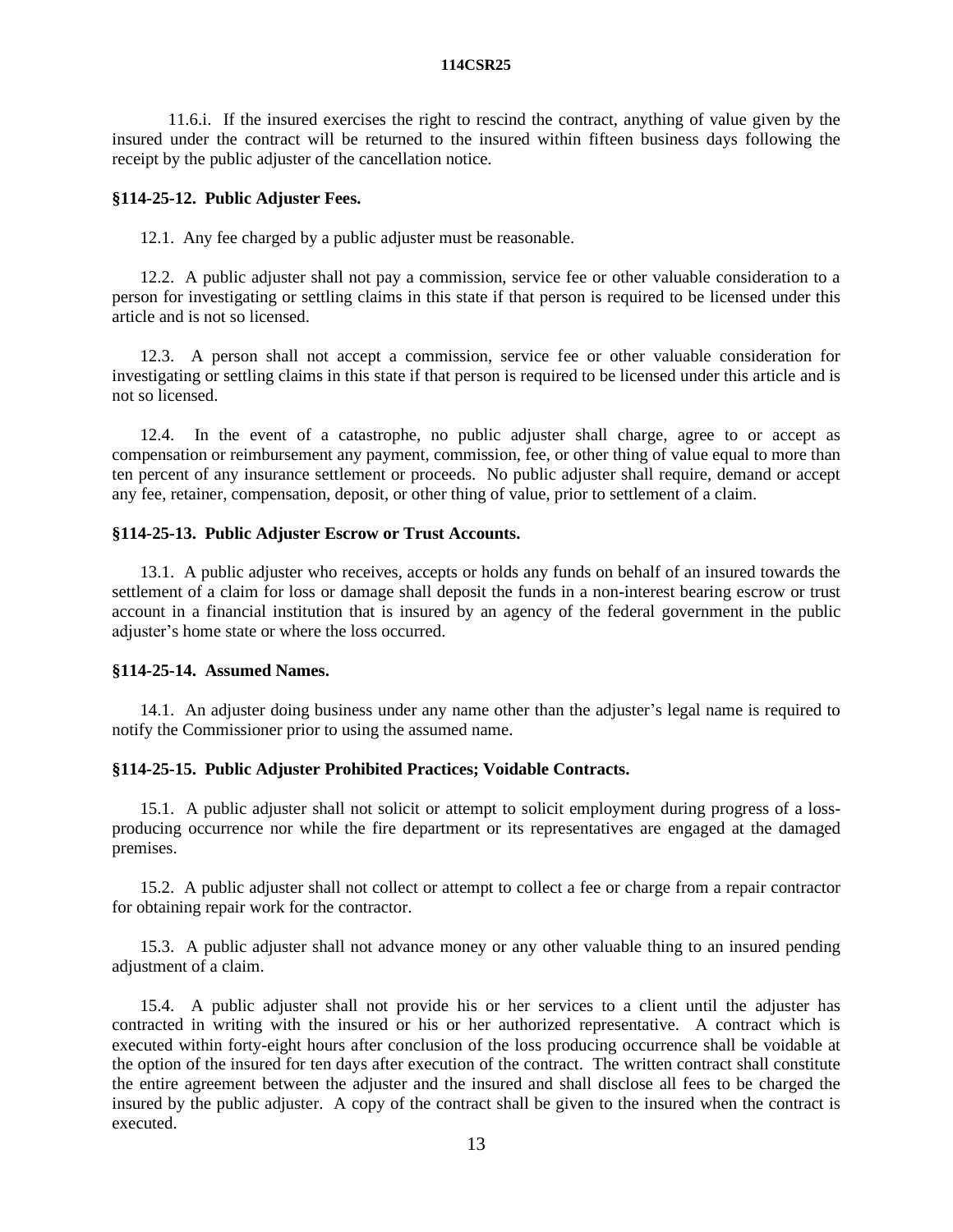11.6.i. If the insured exercises the right to rescind the contract, anything of value given by the insured under the contract will be returned to the insured within fifteen business days following the receipt by the public adjuster of the cancellation notice.

# **§114-25-12. Public Adjuster Fees.**

12.1. Any fee charged by a public adjuster must be reasonable.

12.2. A public adjuster shall not pay a commission, service fee or other valuable consideration to a person for investigating or settling claims in this state if that person is required to be licensed under this article and is not so licensed.

12.3. A person shall not accept a commission, service fee or other valuable consideration for investigating or settling claims in this state if that person is required to be licensed under this article and is not so licensed.

12.4. In the event of a catastrophe, no public adjuster shall charge, agree to or accept as compensation or reimbursement any payment, commission, fee, or other thing of value equal to more than ten percent of any insurance settlement or proceeds. No public adjuster shall require, demand or accept any fee, retainer, compensation, deposit, or other thing of value, prior to settlement of a claim.

### **§114-25-13. Public Adjuster Escrow or Trust Accounts.**

13.1. A public adjuster who receives, accepts or holds any funds on behalf of an insured towards the settlement of a claim for loss or damage shall deposit the funds in a non-interest bearing escrow or trust account in a financial institution that is insured by an agency of the federal government in the public adjuster's home state or where the loss occurred.

### **§114-25-14. Assumed Names.**

14.1. An adjuster doing business under any name other than the adjuster's legal name is required to notify the Commissioner prior to using the assumed name.

# **§114-25-15. Public Adjuster Prohibited Practices; Voidable Contracts.**

15.1. A public adjuster shall not solicit or attempt to solicit employment during progress of a lossproducing occurrence nor while the fire department or its representatives are engaged at the damaged premises.

15.2. A public adjuster shall not collect or attempt to collect a fee or charge from a repair contractor for obtaining repair work for the contractor.

15.3. A public adjuster shall not advance money or any other valuable thing to an insured pending adjustment of a claim.

15.4. A public adjuster shall not provide his or her services to a client until the adjuster has contracted in writing with the insured or his or her authorized representative. A contract which is executed within forty-eight hours after conclusion of the loss producing occurrence shall be voidable at the option of the insured for ten days after execution of the contract. The written contract shall constitute the entire agreement between the adjuster and the insured and shall disclose all fees to be charged the insured by the public adjuster. A copy of the contract shall be given to the insured when the contract is executed.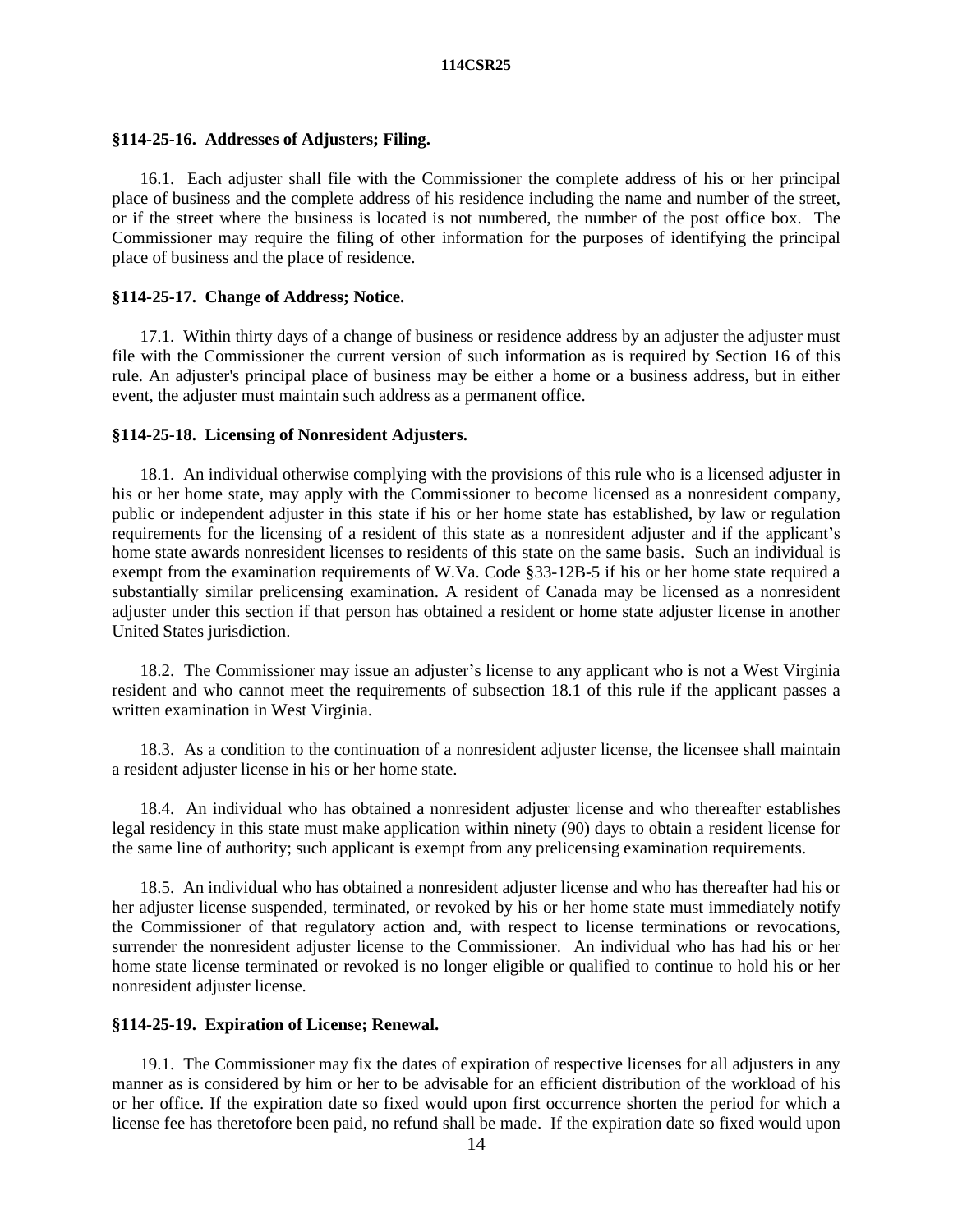### **§114-25-16. Addresses of Adjusters; Filing.**

16.1. Each adjuster shall file with the Commissioner the complete address of his or her principal place of business and the complete address of his residence including the name and number of the street, or if the street where the business is located is not numbered, the number of the post office box. The Commissioner may require the filing of other information for the purposes of identifying the principal place of business and the place of residence.

### **§114-25-17. Change of Address; Notice.**

17.1. Within thirty days of a change of business or residence address by an adjuster the adjuster must file with the Commissioner the current version of such information as is required by Section 16 of this rule. An adjuster's principal place of business may be either a home or a business address, but in either event, the adjuster must maintain such address as a permanent office.

## **§114-25-18. Licensing of Nonresident Adjusters.**

18.1. An individual otherwise complying with the provisions of this rule who is a licensed adjuster in his or her home state, may apply with the Commissioner to become licensed as a nonresident company, public or independent adjuster in this state if his or her home state has established, by law or regulation requirements for the licensing of a resident of this state as a nonresident adjuster and if the applicant's home state awards nonresident licenses to residents of this state on the same basis. Such an individual is exempt from the examination requirements of W.Va. Code §33-12B-5 if his or her home state required a substantially similar prelicensing examination. A resident of Canada may be licensed as a nonresident adjuster under this section if that person has obtained a resident or home state adjuster license in another United States jurisdiction.

18.2. The Commissioner may issue an adjuster's license to any applicant who is not a West Virginia resident and who cannot meet the requirements of subsection 18.1 of this rule if the applicant passes a written examination in West Virginia.

18.3. As a condition to the continuation of a nonresident adjuster license, the licensee shall maintain a resident adjuster license in his or her home state.

18.4. An individual who has obtained a nonresident adjuster license and who thereafter establishes legal residency in this state must make application within ninety (90) days to obtain a resident license for the same line of authority; such applicant is exempt from any prelicensing examination requirements.

18.5. An individual who has obtained a nonresident adjuster license and who has thereafter had his or her adjuster license suspended, terminated, or revoked by his or her home state must immediately notify the Commissioner of that regulatory action and, with respect to license terminations or revocations, surrender the nonresident adjuster license to the Commissioner. An individual who has had his or her home state license terminated or revoked is no longer eligible or qualified to continue to hold his or her nonresident adjuster license.

### **§114-25-19. Expiration of License; Renewal.**

19.1. The Commissioner may fix the dates of expiration of respective licenses for all adjusters in any manner as is considered by him or her to be advisable for an efficient distribution of the workload of his or her office. If the expiration date so fixed would upon first occurrence shorten the period for which a license fee has theretofore been paid, no refund shall be made. If the expiration date so fixed would upon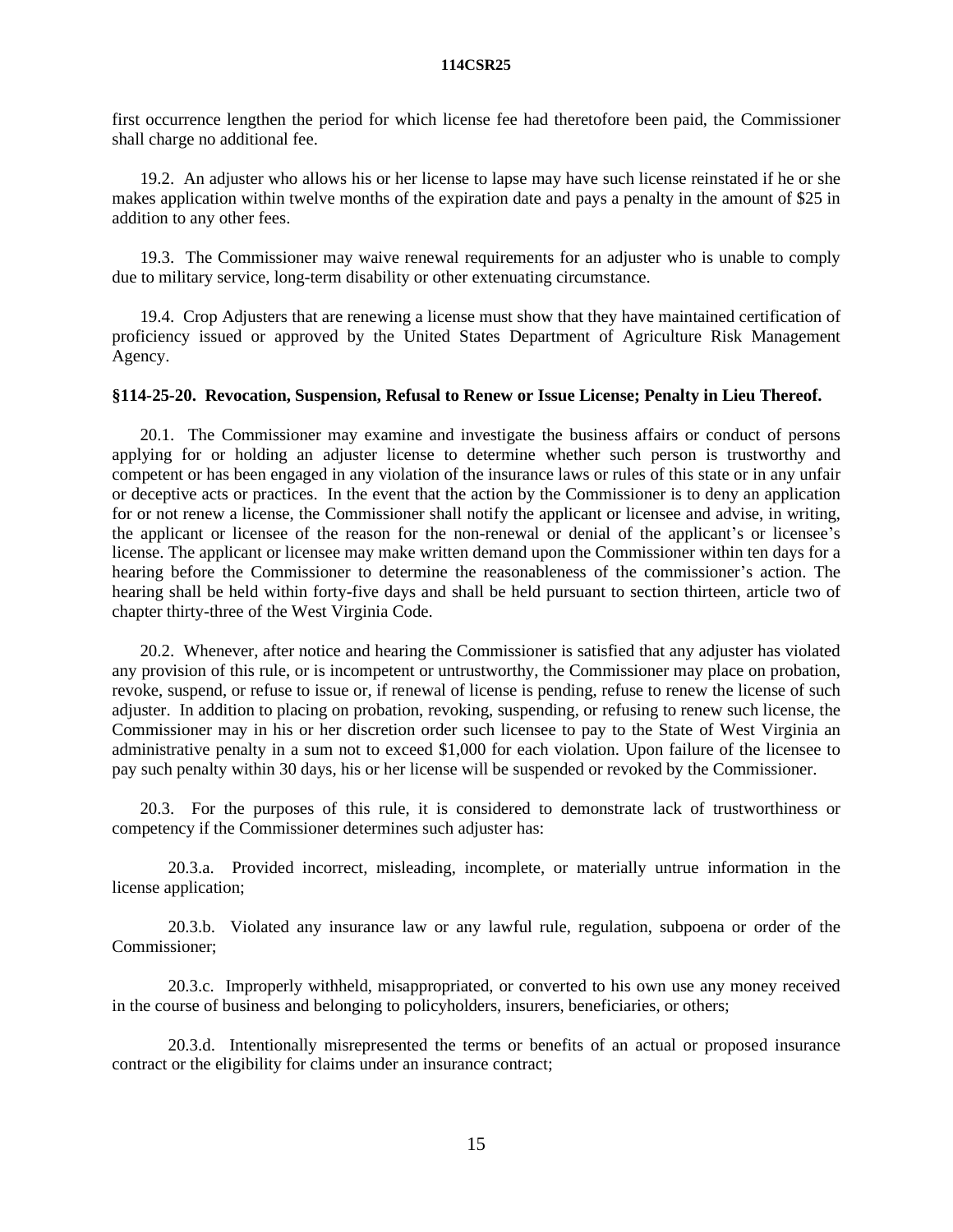first occurrence lengthen the period for which license fee had theretofore been paid, the Commissioner shall charge no additional fee.

19.2. An adjuster who allows his or her license to lapse may have such license reinstated if he or she makes application within twelve months of the expiration date and pays a penalty in the amount of \$25 in addition to any other fees.

19.3. The Commissioner may waive renewal requirements for an adjuster who is unable to comply due to military service, long-term disability or other extenuating circumstance.

19.4. Crop Adjusters that are renewing a license must show that they have maintained certification of proficiency issued or approved by the United States Department of Agriculture Risk Management Agency.

# **§114-25-20. Revocation, Suspension, Refusal to Renew or Issue License; Penalty in Lieu Thereof.**

20.1. The Commissioner may examine and investigate the business affairs or conduct of persons applying for or holding an adjuster license to determine whether such person is trustworthy and competent or has been engaged in any violation of the insurance laws or rules of this state or in any unfair or deceptive acts or practices. In the event that the action by the Commissioner is to deny an application for or not renew a license, the Commissioner shall notify the applicant or licensee and advise, in writing, the applicant or licensee of the reason for the non-renewal or denial of the applicant's or licensee's license. The applicant or licensee may make written demand upon the Commissioner within ten days for a hearing before the Commissioner to determine the reasonableness of the commissioner's action. The hearing shall be held within forty-five days and shall be held pursuant to section thirteen, article two of chapter thirty-three of the West Virginia Code.

20.2. Whenever, after notice and hearing the Commissioner is satisfied that any adjuster has violated any provision of this rule, or is incompetent or untrustworthy, the Commissioner may place on probation, revoke, suspend, or refuse to issue or, if renewal of license is pending, refuse to renew the license of such adjuster. In addition to placing on probation, revoking, suspending, or refusing to renew such license, the Commissioner may in his or her discretion order such licensee to pay to the State of West Virginia an administrative penalty in a sum not to exceed \$1,000 for each violation. Upon failure of the licensee to pay such penalty within 30 days, his or her license will be suspended or revoked by the Commissioner.

20.3. For the purposes of this rule, it is considered to demonstrate lack of trustworthiness or competency if the Commissioner determines such adjuster has:

20.3.a. Provided incorrect, misleading, incomplete, or materially untrue information in the license application;

20.3.b. Violated any insurance law or any lawful rule, regulation, subpoena or order of the Commissioner;

20.3.c. Improperly withheld, misappropriated, or converted to his own use any money received in the course of business and belonging to policyholders, insurers, beneficiaries, or others;

20.3.d. Intentionally misrepresented the terms or benefits of an actual or proposed insurance contract or the eligibility for claims under an insurance contract;